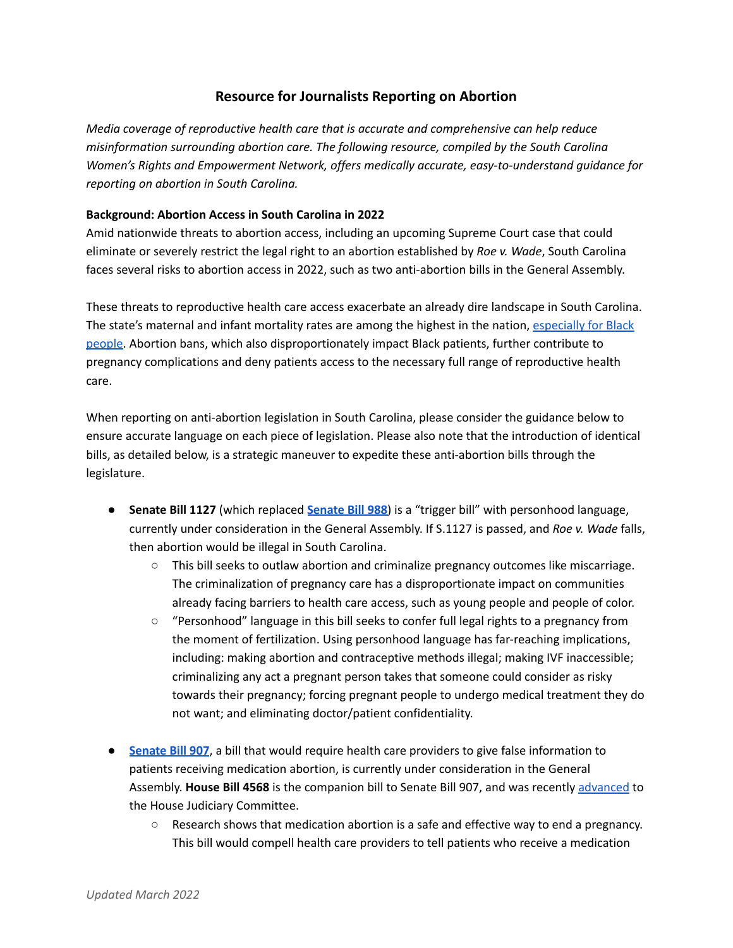# **Resource for Journalists Reporting on Abortion**

*Media coverage of reproductive health care that is accurate and comprehensive can help reduce misinformation surrounding abortion care. The following resource, compiled by the South Carolina Women's Rights and Empowerment Network, offers medically accurate, easy-to-understand guidance for reporting on abortion in South Carolina.*

### **Background: Abortion Access in South Carolina in 2022**

Amid nationwide threats to abortion access, including an upcoming Supreme Court case that could eliminate or severely restrict the legal right to an abortion established by *Roe v. Wade*, South Carolina faces several risks to abortion access in 2022, such as two anti-abortion bills in the General Assembly.

These threats to reproductive health care access exacerbate an already dire landscape in South Carolina. The state's maternal and infant mortality rates are among the highest in the nation, [especially](https://www.scwren.org/wp-content/uploads/2021/01/Be-the-Voice-for-Maternal-Mortality-in-South-Carolina-1.pdf) for Black [people.](https://www.scwren.org/wp-content/uploads/2021/01/Be-the-Voice-for-Maternal-Mortality-in-South-Carolina-1.pdf) Abortion bans, which also disproportionately impact Black patients, further contribute to pregnancy complications and deny patients access to the necessary full range of reproductive health care.

When reporting on anti-abortion legislation in South Carolina, please consider the guidance below to ensure accurate language on each piece of legislation. Please also note that the introduction of identical bills, as detailed below, is a strategic maneuver to expedite these anti-abortion bills through the legislature.

- **Senate Bill 1127** (which replaced **[Senate](https://www.scwren.org/issues/issue/abortion-ban-trigger-ban-with-personhood-language-s-988/) Bill 988**) is a "trigger bill" with personhood language, currently under consideration in the General Assembly. If S.1127 is passed, and *Roe v. Wade* falls, then abortion would be illegal in South Carolina.
	- This bill seeks to outlaw abortion and criminalize pregnancy outcomes like miscarriage. The criminalization of pregnancy care has a disproportionate impact on communities already facing barriers to health care access, such as young people and people of color.
	- "Personhood" language in this bill seeks to confer full legal rights to a pregnancy from the moment of fertilization. Using personhood language has far-reaching implications, including: making abortion and contraceptive methods illegal; making IVF inaccessible; criminalizing any act a pregnant person takes that someone could consider as risky towards their pregnancy; forcing pregnant people to undergo medical treatment they do not want; and eliminating doctor/patient confidentiality.
- **[Senate](https://www.scwren.org/issues/issue/medication-abortion-misinformation-s-907/) Bill 907**, a bill that would require health care providers to give false information to patients receiving medication abortion, is currently under consideration in the General Assembly. **House Bill 4568** is the companion bill to Senate Bill 907, and was recently [advanced](https://apnews.com/article/abortion-health-business-south-carolina-legislature-a9b4237e07088f3b2165eba71eb2ef27) to the House Judiciary Committee.
	- $\circ$  Research shows that medication abortion is a safe and effective way to end a pregnancy. This bill would compell health care providers to tell patients who receive a medication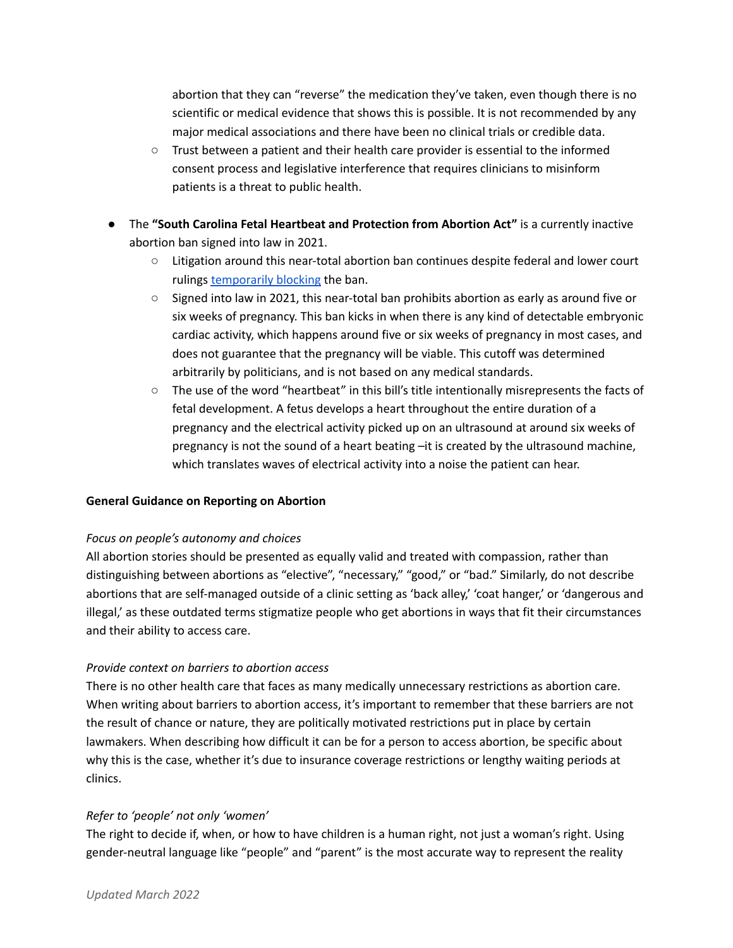abortion that they can "reverse" the medication they've taken, even though there is no scientific or medical evidence that shows this is possible. It is not recommended by any major medical associations and there have been no clinical trials or credible data.

- Trust between a patient and their health care provider is essential to the informed consent process and legislative interference that requires clinicians to misinform patients is a threat to public health.
- The **"South Carolina Fetal Heartbeat and Protection from Abortion Act"** is a currently inactive abortion ban signed into law in 2021.
	- Litigation around this near-total abortion ban continues despite federal and lower court rulings [temporarily](https://apnews.com/article/abortion-health-business-henry-mcmaster-ultrasound-27431d4ad11dd38ac6aa8f1ecdab9330) blocking the ban.
	- Signed into law in 2021, this near-total ban prohibits abortion as early as around five or six weeks of pregnancy. This ban kicks in when there is any kind of detectable embryonic cardiac activity, which happens around five or six weeks of pregnancy in most cases, and does not guarantee that the pregnancy will be viable. This cutoff was determined arbitrarily by politicians, and is not based on any medical standards.
	- The use of the word "heartbeat" in this bill's title intentionally misrepresents the facts of fetal development. A fetus develops a heart throughout the entire duration of a pregnancy and the electrical activity picked up on an ultrasound at around six weeks of pregnancy is not the sound of a heart beating –it is created by the ultrasound machine, which translates waves of electrical activity into a noise the patient can hear.

### **General Guidance on Reporting on Abortion**

### *Focus on people's autonomy and choices*

All abortion stories should be presented as equally valid and treated with compassion, rather than distinguishing between abortions as "elective", "necessary," "good," or "bad." Similarly, do not describe abortions that are self-managed outside of a clinic setting as 'back alley,' 'coat hanger,' or 'dangerous and illegal,' as these outdated terms stigmatize people who get abortions in ways that fit their circumstances and their ability to access care.

### *Provide context on barriers to abortion access*

There is no other health care that faces as many medically unnecessary restrictions as abortion care. When writing about barriers to abortion access, it's important to remember that these barriers are not the result of chance or nature, they are politically motivated restrictions put in place by certain lawmakers. When describing how difficult it can be for a person to access abortion, be specific about why this is the case, whether it's due to insurance coverage restrictions or lengthy waiting periods at clinics.

#### *Refer to 'people' not only 'women'*

The right to decide if, when, or how to have children is a human right, not just a woman's right. Using gender-neutral language like "people" and "parent" is the most accurate way to represent the reality